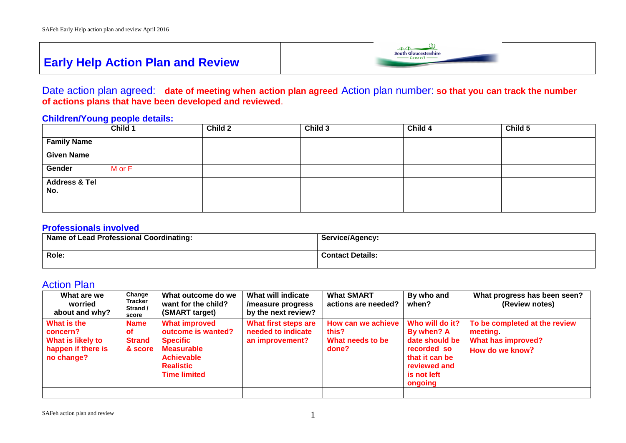# **Early Help Action Plan and Review**



Date action plan agreed: **date of meeting when action plan agreed** Action plan number: **so that you can track the number of actions plans that have been developed and reviewed**.

#### **Children/Young people details:**

|                                 | Child 1 | Child 2 | Child 3 | Child 4 | Child 5 |
|---------------------------------|---------|---------|---------|---------|---------|
| <b>Family Name</b>              |         |         |         |         |         |
| <b>Given Name</b>               |         |         |         |         |         |
| Gender                          | M or F  |         |         |         |         |
| <b>Address &amp; Tel</b><br>No. |         |         |         |         |         |

#### **Professionals involved**

| <b>Name of Lead Professional Coordinating:</b> | Service/Agency:         |
|------------------------------------------------|-------------------------|
| Role:                                          | <b>Contact Details:</b> |

## Action Plan

| What are we<br>worried<br>about and why?                                         | Change<br>Tracker<br>Strand /<br>score               | What outcome do we<br>want for the child?<br>(SMART target)                                                                                        | What will indicate<br>/measure progress<br>by the next review? | <b>What SMART</b><br>actions are needed?                 | By who and<br>when?                                                                                                        | What progress has been seen?<br>(Review notes)                                           |
|----------------------------------------------------------------------------------|------------------------------------------------------|----------------------------------------------------------------------------------------------------------------------------------------------------|----------------------------------------------------------------|----------------------------------------------------------|----------------------------------------------------------------------------------------------------------------------------|------------------------------------------------------------------------------------------|
| What is the<br>concern?<br>What is likely to<br>happen if there is<br>no change? | <b>Name</b><br><b>of</b><br><b>Strand</b><br>& score | <b>What improved</b><br>outcome is wanted?<br><b>Specific</b><br><b>Measurable</b><br><b>Achievable</b><br><b>Realistic</b><br><b>Time limited</b> | What first steps are<br>needed to indicate<br>an improvement?  | How can we achieve<br>this?<br>What needs to be<br>done? | Who will do it?<br>By when? A<br>date should be<br>recorded so<br>that it can be<br>reviewed and<br>is not left<br>ongoing | To be completed at the review<br>meeting<br><b>What has improved?</b><br>How do we know? |
|                                                                                  |                                                      |                                                                                                                                                    |                                                                |                                                          |                                                                                                                            |                                                                                          |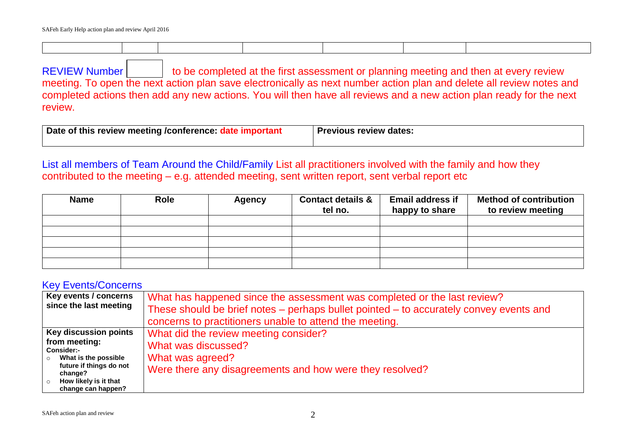REVIEW Number  $\vert$  to be completed at the first assessment or planning meeting and then at every review meeting. To open the next action plan save electronically as next number action plan and delete all review notes and completed actions then add any new actions. You will then have all reviews and a new action plan ready for the next review.

| Date of this review meeting /conference: date important | Previous review dates: |
|---------------------------------------------------------|------------------------|
|                                                         |                        |

## List all members of Team Around the Child/Family List all practitioners involved with the family and how they contributed to the meeting – e.g. attended meeting, sent written report, sent verbal report etc

| <b>Name</b> | Role | <b>Agency</b> | <b>Contact details &amp;</b><br>tel no. | <b>Email address if</b><br>happy to share | <b>Method of contribution</b><br>to review meeting |
|-------------|------|---------------|-----------------------------------------|-------------------------------------------|----------------------------------------------------|
|             |      |               |                                         |                                           |                                                    |
|             |      |               |                                         |                                           |                                                    |
|             |      |               |                                         |                                           |                                                    |
|             |      |               |                                         |                                           |                                                    |
|             |      |               |                                         |                                           |                                                    |

### Key Events/Concerns

| Key events / concerns<br>since the last meeting                                                                                                                          | What has happened since the assessment was completed or the last review?<br>These should be brief notes – perhaps bullet pointed – to accurately convey events and<br>concerns to practitioners unable to attend the meeting. |
|--------------------------------------------------------------------------------------------------------------------------------------------------------------------------|-------------------------------------------------------------------------------------------------------------------------------------------------------------------------------------------------------------------------------|
| <b>Key discussion points</b><br>from meeting:<br>Consider:-<br>What is the possible<br>future if things do not<br>change?<br>How likely is it that<br>change can happen? | What did the review meeting consider?<br>What was discussed?<br>What was agreed?<br>Were there any disagreements and how were they resolved?                                                                                  |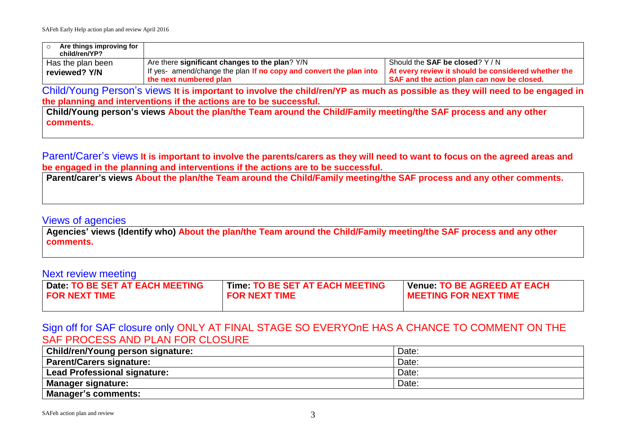| Are things improving for<br>child/ren/YP? |                                                                    |                                                     |
|-------------------------------------------|--------------------------------------------------------------------|-----------------------------------------------------|
| Has the plan been                         | Are there significant changes to the plan? Y/N                     | Should the <b>SAF be closed</b> ? Y/N               |
| reviewed? Y/N                             | If yes- amend/change the plan If no copy and convert the plan into | At every review it should be considered whether the |
|                                           | the next numbered plan                                             | SAF and the action plan can now be closed.          |

Child/Young Person's views **It is important to involve the child/ren/YP as much as possible as they will need to be engaged in the planning and interventions if the actions are to be successful.**

**Child/Young person's views About the plan/the Team around the Child/Family meeting/the SAF process and any other comments.**

Parent/Carer's views **It is important to involve the parents/carers as they will need to want to focus on the agreed areas and be engaged in the planning and interventions if the actions are to be successful.**

**Parent/carer's views About the plan/the Team around the Child/Family meeting/the SAF process and any other comments.**

#### Views of agencies

**Agencies' views (Identify who) About the plan/the Team around the Child/Family meeting/the SAF process and any other comments.**

### Next review meeting

| Date: TO BE SET AT EACH MEETING | Time TO BE SET AT EACH MEETING | <b>Venue: TO BE AGREED AT EACH</b> |
|---------------------------------|--------------------------------|------------------------------------|
| <b>FOR NEXT TIME</b>            | <b>FOR NEXT TIME</b>           | <b>MEETING FOR NEXT TIME</b>       |
|                                 |                                |                                    |

### Sign off for SAF closure only ONLY AT FINAL STAGE SO EVERYOnE HAS A CHANCE TO COMMENT ON THE SAF PROCESS AND PLAN FOR CLOSURE

| <b>Child/ren/Young person signature:</b> | Date: |  |  |  |
|------------------------------------------|-------|--|--|--|
| <b>Parent/Carers signature:</b>          | Date: |  |  |  |
| <b>Lead Professional signature:</b>      | Date: |  |  |  |
| <b>Manager signature:</b>                | Date: |  |  |  |
| <b>I Manager's comments:</b>             |       |  |  |  |